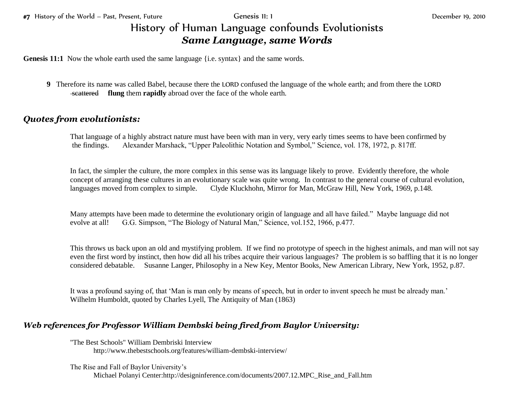## History of Human Language confounds Evolutionists *Same Language, same Words*

**Genesis 11:1** Now the whole earth used the same language {i.e. syntax} and the same words.

**9** Therefore its name was called Babel, because there the LORD confused the language of the whole earth; and from there the LORD scattered **flung** them **rapidly** abroad over the face of the whole earth.

## *Quotes from evolutionists:*

That language of a highly abstract nature must have been with man in very, very early times seems to have been confirmed by the findings. Alexander Marshack, "Upper Paleolithic Notation and Symbol," Science, vol. 178, 1972, p. 817ff.

In fact, the simpler the culture, the more complex in this sense was its language likely to prove. Evidently therefore, the whole concept of arranging these cultures in an evolutionary scale was quite wrong. In contrast to the general course of cultural evolution, languages moved from complex to simple. Clyde Kluckhohn, Mirror for Man, McGraw Hill, New York, 1969, p.148.

Many attempts have been made to determine the evolutionary origin of language and all have failed." Maybe language did not evolve at all! G.G. Simpson, "The Biology of Natural Man," Science, vol.152, 1966, p.477.

This throws us back upon an old and mystifying problem. If we find no prototype of speech in the highest animals, and man will not say even the first word by instinct, then how did all his tribes acquire their various languages? The problem is so baffling that it is no longer considered debatable. Susanne Langer, Philosophy in a New Key, Mentor Books, New American Library, New York, 1952, p.87.

It was a profound saying of, that 'Man is man only by means of speech, but in order to invent speech he must be already man.' Wilhelm Humboldt, quoted by Charles Lyell, The Antiquity of Man (1863)

## *Web references for Professor William Dembski being fired from Baylor University:*

"The Best Schools" William Dembriski Interview http://www.thebestschools.org/features/william-dembski-interview/

The Rise and Fall of Baylor University's

Michael Polanyi Center:http://designinference.com/documents/2007.12.MPC\_Rise\_and\_Fall.htm